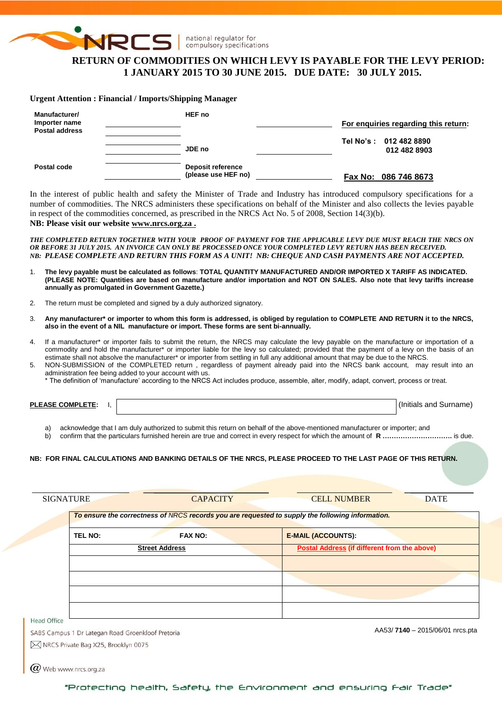

# **RETURN OF COMMODITIES ON WHICH LEVY IS PAYABLE FOR THE LEVY PERIOD: 1 JANUARY 2015 TO 30 JUNE 2015. DUE DATE: 30 JULY 2015.**

#### **Urgent Attention : Financial / Imports/Shipping Manager**

| Manufacturer/<br>Importer name<br>Postal address | HEF no                                   | For enguiries regarding this return:   |
|--------------------------------------------------|------------------------------------------|----------------------------------------|
|                                                  | JDE no                                   | Tel No's: 012 482 8890<br>012 482 8903 |
| Postal code                                      | Deposit reference<br>(please use HEF no) | Fax No: 086 746 8673                   |

In the interest of public health and safety the Minister of Trade and Industry has introduced compulsory specifications for a number of commodities. The NRCS administers these specifications on behalf of the Minister and also collects the levies payable in respect of the commodities concerned, as prescribed in the NRCS Act No. 5 of 2008, Section 14(3)(b).

## **NB: Please visit our website [www.nrcs.org.za](http://www.nrcs.org.za/) .**

*THE COMPLETED RETURN TOGETHER WITH YOUR PROOF OF PAYMENT FOR THE APPLICABLE LEVY DUE MUST REACH THE NRCS ON OR BEFORE 31 JULY 2015. AN INVOICE CAN ONLY BE PROCESSED ONCE YOUR COMPLETED LEVY RETURN HAS BEEN RECEIVED. NB: PLEASE COMPLETE AND RETURN THIS FORM AS A UNIT! NB: CHEQUE AND CASH PAYMENTS ARE NOT ACCEPTED.*

- 1. **The levy payable must be calculated as follows**: **TOTAL QUANTITY MANUFACTURED AND/OR IMPORTED X TARIFF AS INDICATED. (PLEASE NOTE: Quantities are based on manufacture and/or importation and NOT ON SALES. Also note that levy tariffs increase annually as promulgated in Government Gazette.)**
- 2. The return must be completed and signed by a duly authorized signatory.
- 3. **Any manufacturer\* or importer to whom this form is addressed, is obliged by regulation to COMPLETE AND RETURN it to the NRCS, also in the event of a NIL manufacture or import. These forms are sent bi-annually.**
- 4. If a manufacturer\* or importer fails to submit the return, the NRCS may calculate the levy payable on the manufacture or importation of a commodity and hold the manufacturer\* or importer liable for the levy so calculated; provided that the payment of a levy on the basis of an estimate shall not absolve the manufacturer\* or importer from settling in full any additional amount that may be due to the NRCS.
- 5. NON-SUBMISSION of the COMPLETED return , regardless of payment already paid into the NRCS bank account, may result into an administration fee being added to your account with us.
	- \* The definition of 'manufacture' according to the NRCS Act includes produce, assemble, alter, modify, adapt, convert, process or treat.

**PLEASE COMPLETE:** I,  $\vert$ 

 $(\alpha)$  Web www.nrcs.org.za

a) acknowledge that I am duly authorized to submit this return on behalf of the above-mentioned manufacturer or importer; and

b) confirm that the particulars furnished herein are true and correct in every respect for which the amount of **R ………………………….** is due.

#### **NB: FOR FINAL CALCULATIONS AND BANKING DETAILS OF THE NRCS, PLEASE PROCEED TO THE LAST PAGE OF THIS RETURN.**

|             | To ensure the correctness of NRCS records you are requested to supply the following information. |                                                     |  |
|-------------|--------------------------------------------------------------------------------------------------|-----------------------------------------------------|--|
| TEL NO:     | <b>FAX NO:</b>                                                                                   | <b>E-MAIL (ACCOUNTS):</b>                           |  |
|             | <b>Street Address</b>                                                                            | <b>Postal Address (if different from the above)</b> |  |
|             |                                                                                                  |                                                     |  |
|             |                                                                                                  |                                                     |  |
|             |                                                                                                  |                                                     |  |
|             |                                                                                                  |                                                     |  |
| Head Office | SABS Campus 1 Dr Lategan Road Groenkloof Pretoria                                                | AA53/7140 - 2015/06/01 nrcs.pta                     |  |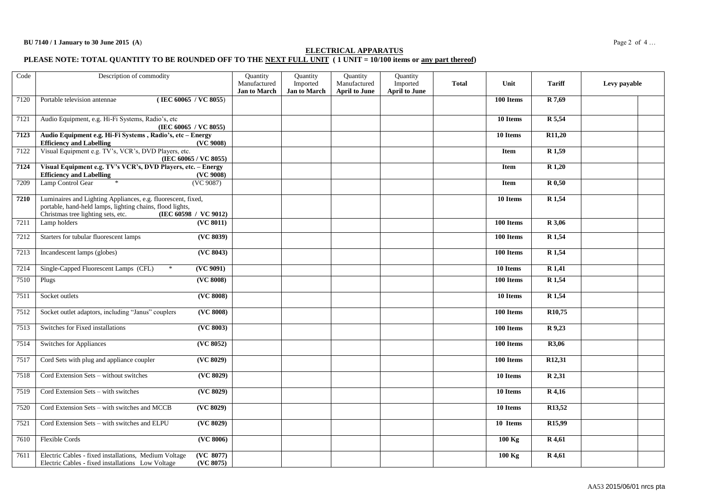## **ELECTRICAL APPARATUS**

#### **PLEASE NOTE: TOTAL QUANTITY TO BE ROUNDED OFF TO THE NEXT FULL UNIT ( 1 UNIT = 10/100 items or any part thereof)**

| Code | Description of commodity                                                                                                             |                                      | Quantity                 | Quantity                             | Quantity                         |              |                        |                     |              |
|------|--------------------------------------------------------------------------------------------------------------------------------------|--------------------------------------|--------------------------|--------------------------------------|----------------------------------|--------------|------------------------|---------------------|--------------|
|      |                                                                                                                                      | Manufactured<br><b>Jan to March</b>  | Imported<br>Jan to March | Manufactured<br><b>April to June</b> | Imported<br><b>April to June</b> | <b>Total</b> | Unit                   | <b>Tariff</b>       | Levy payable |
| 7120 | Portable television antennae<br>(IEC 60065 / VC 8055)                                                                                |                                      |                          |                                      |                                  |              | 100 Items              | R 7,69              |              |
|      |                                                                                                                                      |                                      |                          |                                      |                                  |              |                        |                     |              |
| 7121 | Audio Equipment, e.g. Hi-Fi Systems, Radio's, etc<br>(IEC 60065 / VC 8055)                                                           |                                      |                          |                                      |                                  |              | 10 Items               | R 5,54              |              |
| 7123 | Audio Equipment e.g. Hi-Fi Systems, Radio's, etc - Energy                                                                            |                                      |                          |                                      |                                  |              | 10 Items               | R11,20              |              |
| 7122 | <b>Efficiency and Labelling</b><br>(VC 9008)<br>Visual Equipment e.g. TV's, VCR's, DVD Players, etc.                                 |                                      |                          |                                      |                                  |              | <b>Item</b>            | R <sub>1,59</sub>   |              |
|      | (IEC 60065 / VC 8055)                                                                                                                |                                      |                          |                                      |                                  |              |                        |                     |              |
| 7124 | Visual Equipment e.g. TV's VCR's, DVD Players, etc. - Energy<br><b>Efficiency and Labelling</b><br>(VC 9008)                         |                                      |                          |                                      |                                  |              | <b>Item</b>            | R 1,20              |              |
| 7209 | Lamp Control Gear<br>(VC 9087)                                                                                                       |                                      |                          |                                      |                                  |              | <b>Item</b>            | R 0,50              |              |
|      |                                                                                                                                      |                                      |                          |                                      |                                  |              |                        |                     |              |
| 7210 | Luminaires and Lighting Appliances, e.g. fluorescent, fixed,<br>portable, hand-held lamps, lighting chains, flood lights,            |                                      |                          |                                      |                                  |              | 10 Items               | R 1,54              |              |
|      | Christmas tree lighting sets, etc.<br>(IEC 60598 / VC 9012)                                                                          |                                      |                          |                                      |                                  |              |                        |                     |              |
| 7211 | (VC 8011)<br>Lamp holders                                                                                                            |                                      |                          |                                      |                                  |              | 100 Items              | R 3,06              |              |
| 7212 | Starters for tubular fluorescent lamps                                                                                               | (VC 8039)                            |                          |                                      |                                  |              | 100 Items              | $\overline{R1,54}$  |              |
| 7213 | Incandescent lamps (globes)                                                                                                          | (VC 8043)                            |                          |                                      |                                  |              | 100 Items              | R 1,54              |              |
| 7214 | Single-Capped Fluorescent Lamps (CFL)<br>$\ast$<br>( <b>VC</b> 9091)                                                                 |                                      |                          |                                      |                                  |              | 10 Items               | R <sub>1,41</sub>   |              |
| 7510 | (VC 8008)<br>Plugs                                                                                                                   |                                      |                          |                                      |                                  |              | 100 Items              | R <sub>1,54</sub>   |              |
| 7511 | Socket outlets                                                                                                                       | (VC 8008)                            |                          |                                      |                                  |              | 10 Items               | R <sub>1,54</sub>   |              |
| 7512 | Socket outlet adaptors, including "Janus" couplers                                                                                   | ( <b>VC</b> 8008)                    |                          |                                      |                                  |              | 100 Items              | R <sub>10</sub> ,75 |              |
| 7513 | $(\overline{\text{VC } 8003})$<br>Switches for Fixed installations                                                                   |                                      |                          |                                      |                                  |              | $\overline{100}$ Items | R 9,23              |              |
| 7514 | (VC 8052)<br>Switches for Appliances                                                                                                 |                                      |                          |                                      |                                  |              | 100 Items              | R3,06               |              |
| 7517 | Cord Sets with plug and appliance coupler<br>(VC 8029)                                                                               |                                      |                          |                                      |                                  |              | 100 Items              | R <sub>12</sub> ,31 |              |
| 7518 | Cord Extension Sets - without switches                                                                                               | ( <b>VC</b> 8029)                    |                          |                                      |                                  |              | 10 Items               | R 2,31              |              |
| 7519 | Cord Extension Sets - with switches                                                                                                  | (VC 8029)                            |                          |                                      |                                  |              | $\overline{10}$ Items  | $R$ 4,16            |              |
| 7520 | ( <b>VC</b> 8029)<br>Cord Extension Sets - with switches and MCCB                                                                    |                                      |                          |                                      |                                  |              | 10 Items               | R <sub>13</sub> ,52 |              |
| 7521 | ( <b>VC</b> 8029)<br>Cord Extension Sets - with switches and ELPU                                                                    |                                      |                          |                                      |                                  |              | 10 Items               | R <sub>15,99</sub>  |              |
| 7610 | <b>Flexible Cords</b>                                                                                                                | $\overline{\text{(\text{VC 8006})}}$ |                          |                                      |                                  |              | $100$ Kg               | R 4,61              |              |
| 7611 | (VC 8077)<br>Electric Cables - fixed installations, Medium Voltage<br>(VC 8075)<br>Electric Cables - fixed installations Low Voltage |                                      |                          |                                      |                                  |              | $100$ Kg               | R 4,61              |              |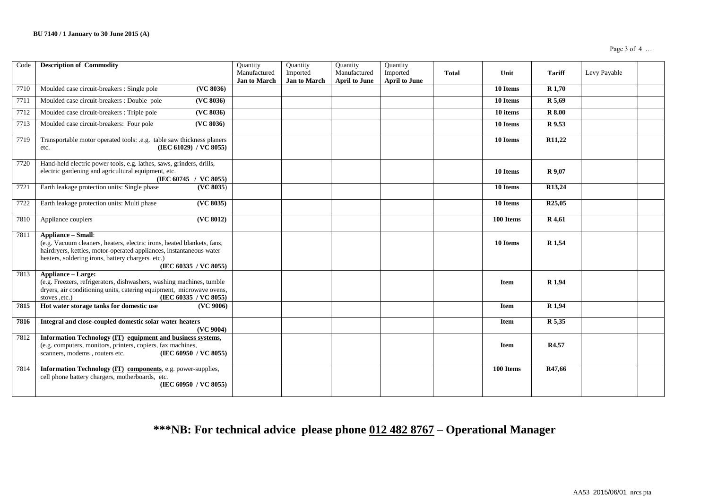| Code | <b>Description of Commodity</b>                                                                                                                                                                                                                         | Quantity<br>Manufactured<br><b>Jan to March</b> | Quantity<br>Imported<br><b>Jan to March</b> | Quantity<br>Manufactured<br><b>April to June</b> | Quantity<br>Imported<br><b>April to June</b> | <b>Total</b> | Unit        | <b>Tariff</b>       | Levy Payable |  |
|------|---------------------------------------------------------------------------------------------------------------------------------------------------------------------------------------------------------------------------------------------------------|-------------------------------------------------|---------------------------------------------|--------------------------------------------------|----------------------------------------------|--------------|-------------|---------------------|--------------|--|
| 7710 | Moulded case circuit-breakers : Single pole<br>(VC 8036)                                                                                                                                                                                                |                                                 |                                             |                                                  |                                              |              | 10 Items    | <b>R</b> 1,70       |              |  |
| 7711 | Moulded case circuit-breakers : Double pole<br>(VC 8036)                                                                                                                                                                                                |                                                 |                                             |                                                  |                                              |              | 10 Items    | R 5,69              |              |  |
| 7712 | Moulded case circuit-breakers: Triple pole<br>(VC 8036)                                                                                                                                                                                                 |                                                 |                                             |                                                  |                                              |              | 10 items    | <b>R</b> 8.00       |              |  |
| 7713 | Moulded case circuit-breakers: Four pole<br>(VC 8036)                                                                                                                                                                                                   |                                                 |                                             |                                                  |                                              |              | 10 Items    | R 9,53              |              |  |
| 7719 | Transportable motor operated tools: .e.g. table saw thickness planers<br>(IEC 61029) / VC 8055)<br>etc.                                                                                                                                                 |                                                 |                                             |                                                  |                                              |              | 10 Items    | R <sub>11</sub> ,22 |              |  |
| 7720 | Hand-held electric power tools, e.g. lathes, saws, grinders, drills,<br>electric gardening and agricultural equipment, etc.<br>(IEC 60745 / VC 8055)                                                                                                    |                                                 |                                             |                                                  |                                              |              | 10 Items    | <b>R</b> 9,07       |              |  |
| 7721 | Earth leakage protection units: Single phase<br>(VC 8035)                                                                                                                                                                                               |                                                 |                                             |                                                  |                                              |              | 10 Items    | R13,24              |              |  |
| 7722 | Earth leakage protection units: Multi phase<br>(VC 8035)                                                                                                                                                                                                |                                                 |                                             |                                                  |                                              |              | 10 Items    | R <sub>25</sub> ,05 |              |  |
| 7810 | $\overline{\text{(\text{VC 8012})}}$<br>Appliance couplers                                                                                                                                                                                              |                                                 |                                             |                                                  |                                              |              | 100 Items   | R 4,61              |              |  |
| 7811 | <b>Appliance - Small:</b><br>(e.g. Vacuum cleaners, heaters, electric irons, heated blankets, fans,<br>hairdryers, kettles, motor-operated appliances, instantaneous water<br>heaters, soldering irons, battery chargers etc.)<br>(IEC 60335 / VC 8055) |                                                 |                                             |                                                  |                                              |              | 10 Items    | R <sub>1</sub> ,54  |              |  |
| 7813 | <b>Appliance - Large:</b><br>(e.g. Freezers, refrigerators, dishwashers, washing machines, tumble<br>dryers, air conditioning units, catering equipment, microwave ovens,<br>(IEC 60335 / VC 8055)<br>stoves .etc.)                                     |                                                 |                                             |                                                  |                                              |              | Item        | R <sub>1,94</sub>   |              |  |
| 7815 | Hot water storage tanks for domestic use<br>(VC 9006)                                                                                                                                                                                                   |                                                 |                                             |                                                  |                                              |              | <b>Item</b> | R <sub>1,94</sub>   |              |  |
| 7816 | Integral and close-coupled domestic solar water heaters<br>(VC 9004)                                                                                                                                                                                    |                                                 |                                             |                                                  |                                              |              | <b>Item</b> | R 5,35              |              |  |
| 7812 | Information Technology (IT) equipment and business systems,<br>(e.g. computers, monitors, printers, copiers, fax machines,<br>scanners, modems, routers etc.<br>(IEC 60950 / VC 8055)                                                                   |                                                 |                                             |                                                  |                                              |              | <b>Item</b> | R4,57               |              |  |
| 7814 | Information Technology (IT) components, e.g. power-supplies,<br>cell phone battery chargers, motherboards, etc.<br>(IEC 60950 / VC 8055)                                                                                                                |                                                 |                                             |                                                  |                                              |              | 100 Items   | R47,66              |              |  |

# **\*\*\*NB: For technical advice please phone 012 482 8767 – Operational Manager**